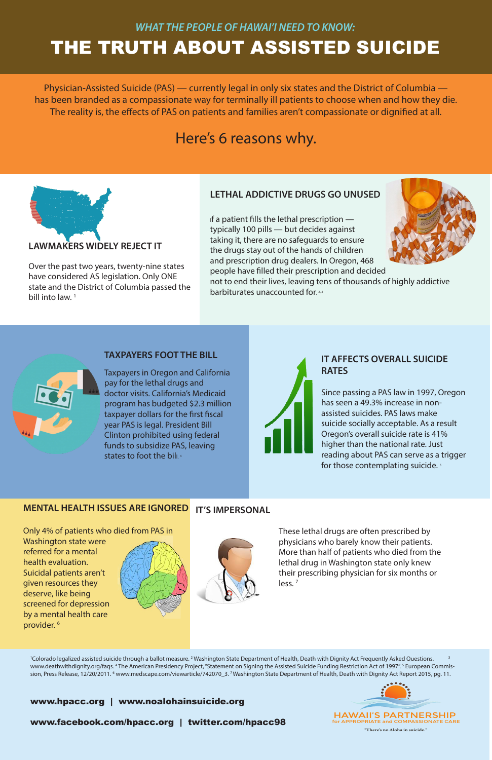#### **LAWMAKERS WIDELY REJECT IT**

Over the past two years, twenty-nine states have considered AS legislation. Only ONE state and the District of Columbia passed the bill into law.<sup>1</sup>

### **LETHAL ADDICTIVE DRUGS GO UNUSED**

If a patient fills the lethal prescription  $$ typically 100 pills — but decides against taking it, there are no safeguards to ensure the drugs stay out of the hands of children and prescription drug dealers. In Oregon, 468 people have filled their prescription and decided

not to end their lives, leaving tens of thousands of highly addictive barbiturates unaccounted for. 2,3



Taxpayers in Oregon and California pay for the lethal drugs and doctor visits. California's Medicaid program has budgeted \$2.3 million taxpayer dollars for the first fiscal year PAS is legal. President Bill Clinton prohibited using federal funds to subsidize PAS, leaving states to foot the bill.<sup>4</sup>



Since passing a PAS law in 1997, Oregon has seen a 49.3% increase in nonassisted suicides. PAS laws make suicide socially acceptable. As a result Oregon's overall suicide rate is 41% higher than the national rate. Just reading about PAS can serve as a trigger for those contemplating suicide.<sup>5</sup>



**"There's no Aloha in suicide."**

#### **TAXPAYERS FOOT THE BILL**

#### **IT AFFECTS OVERALL SUICIDE RATES**

Physician-Assisted Suicide (PAS) — currently legal in only six states and the District of Columbia has been branded as a compassionate way for terminally ill patients to choose when and how they die. The reality is, the effects of PAS on patients and families aren't compassionate or dignified at all.

### Here's 6 reasons why.



Only 4% of patients who died from PAS in Washington state were referred for a mental





#### **MENTAL HEALTH ISSUES ARE IGNORED IT'S IMPERSONAL**

health evaluation. Suicidal patients aren't given resources they deserve, like being screened for depression by a mental health care provider. 6

> <sup>1</sup>Colorado legalized assisted suicide through a ballot measure. <sup>2</sup> Washington State Department of Health, Death with Dignity Act Frequently Asked Questions. <sup>3</sup> www.deathwithdignity.org/faqs. 4 The American Presidency Project, "Statement on Signing the Assisted Suicide Funding Restriction Act of 1997". 5 European Commission, Press Release, 12/20/2011. <sup>6</sup> www.medscape.com/viewarticle/742070\_3. <sup>7</sup>Washington State Department of Health, Death with Dignity Act Report 2015, pg. 11.

## THE TRUTH ABOUT ASSISTED SUICIDE *WHAT THE PEOPLE OF HAWAI'I NEED TO KNOW:*

These lethal drugs are often prescribed by physicians who barely know their patients. More than half of patients who died from the lethal drug in Washington state only knew their prescribing physician for six months or less. 7

#### www.hpacc.org | www.noalohainsuicide.org

www.facebook.com/hpacc.org | twitter.com/hpacc98